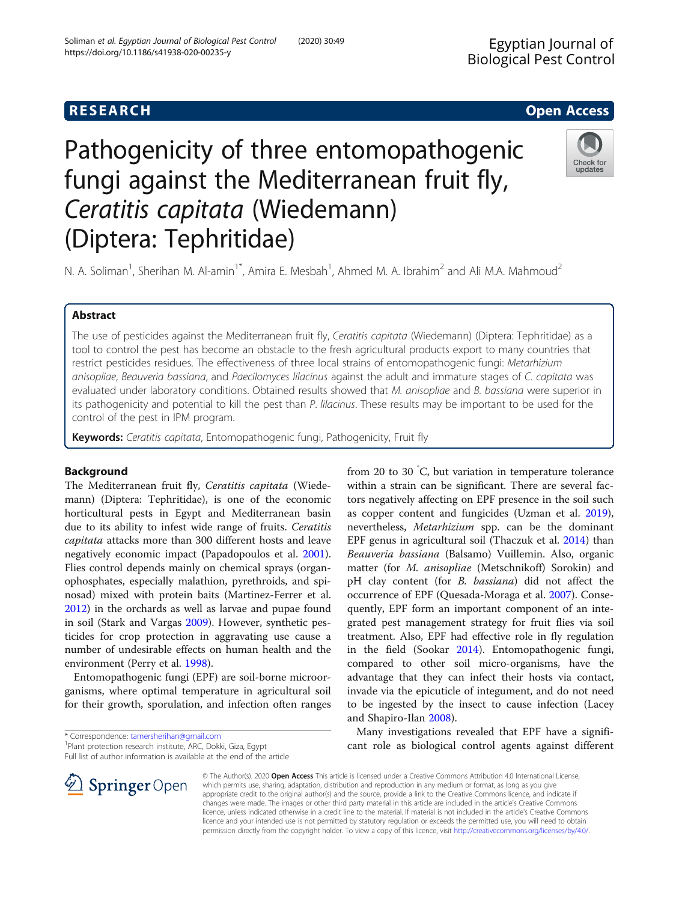# **RESEARCH CHE Open Access**

# Pathogenicity of three entomopathogenic fungi against the Mediterranean fruit fly, Ceratitis capitata (Wiedemann) (Diptera: Tephritidae)

N. A. Soliman<sup>1</sup>, Sherihan M. Al-amin<sup>1\*</sup>, Amira E. Mesbah<sup>1</sup>, Ahmed M. A. Ibrahim<sup>2</sup> and Ali M.A. Mahmoud<sup>2</sup>

# Abstract

The use of pesticides against the Mediterranean fruit fly, Ceratitis capitata (Wiedemann) (Diptera: Tephritidae) as a tool to control the pest has become an obstacle to the fresh agricultural products export to many countries that restrict pesticides residues. The effectiveness of three local strains of entomopathogenic fungi: Metarhizium anisopliae, Beauveria bassiana, and Paecilomyces lilacinus against the adult and immature stages of C. capitata was evaluated under laboratory conditions. Obtained results showed that M. anisopliae and B. bassiana were superior in its pathogenicity and potential to kill the pest than P. lilacinus. These results may be important to be used for the control of the pest in IPM program.

Keywords: Ceratitis capitata, Entomopathogenic fungi, Pathogenicity, Fruit fly

# Background

The Mediterranean fruit fly, Ceratitis capitata (Wiedemann) (Diptera: Tephritidae), is one of the economic horticultural pests in Egypt and Mediterranean basin due to its ability to infest wide range of fruits. Ceratitis capitata attacks more than 300 different hosts and leave negatively economic impact (Papadopoulos et al. [2001](#page-7-0)). Flies control depends mainly on chemical sprays (organophosphates, especially malathion, pyrethroids, and spinosad) mixed with protein baits (Martinez-Ferrer et al. [2012](#page-7-0)) in the orchards as well as larvae and pupae found in soil (Stark and Vargas [2009\)](#page-7-0). However, synthetic pesticides for crop protection in aggravating use cause a number of undesirable effects on human health and the environment (Perry et al. [1998\)](#page-7-0).

Entomopathogenic fungi (EPF) are soil-borne microorganisms, where optimal temperature in agricultural soil for their growth, sporulation, and infection often ranges

\* Correspondence: [tamersherihan@gmail.com](mailto:tamersherihan@gmail.com) <sup>1</sup>

 $\mathscr{L}$  Springer Open

<sup>1</sup>Plant protection research institute, ARC, Dokki, Giza, Egypt Full list of author information is available at the end of the article

within a strain can be significant. There are several factors negatively affecting on EPF presence in the soil such as copper content and fungicides (Uzman et al. [2019](#page-7-0)), nevertheless, Metarhizium spp. can be the dominant EPF genus in agricultural soil (Thaczuk et al. [2014\)](#page-7-0) than Beauveria bassiana (Balsamo) Vuillemin. Also, organic matter (for M. anisopliae (Metschnikoff) Sorokin) and pH clay content (for B. bassiana) did not affect the occurrence of EPF (Quesada-Moraga et al. [2007](#page-7-0)). Consequently, EPF form an important component of an integrated pest management strategy for fruit flies via soil treatment. Also, EPF had effective role in fly regulation in the field (Sookar [2014](#page-7-0)). Entomopathogenic fungi, compared to other soil micro-organisms, have the advantage that they can infect their hosts via contact, invade via the epicuticle of integument, and do not need to be ingested by the insect to cause infection (Lacey and Shapiro-Ilan [2008\)](#page-7-0).

from 20 to 30 ° C, but variation in temperature tolerance

Many investigations revealed that EPF have a significant role as biological control agents against different

© The Author(s). 2020 Open Access This article is licensed under a Creative Commons Attribution 4.0 International License, which permits use, sharing, adaptation, distribution and reproduction in any medium or format, as long as you give appropriate credit to the original author(s) and the source, provide a link to the Creative Commons licence, and indicate if changes were made. The images or other third party material in this article are included in the article's Creative Commons licence, unless indicated otherwise in a credit line to the material. If material is not included in the article's Creative Commons licence and your intended use is not permitted by statutory regulation or exceeds the permitted use, you will need to obtain permission directly from the copyright holder. To view a copy of this licence, visit <http://creativecommons.org/licenses/by/4.0/>.

Ingiral Pest Control  $\mathbf{C}$ 

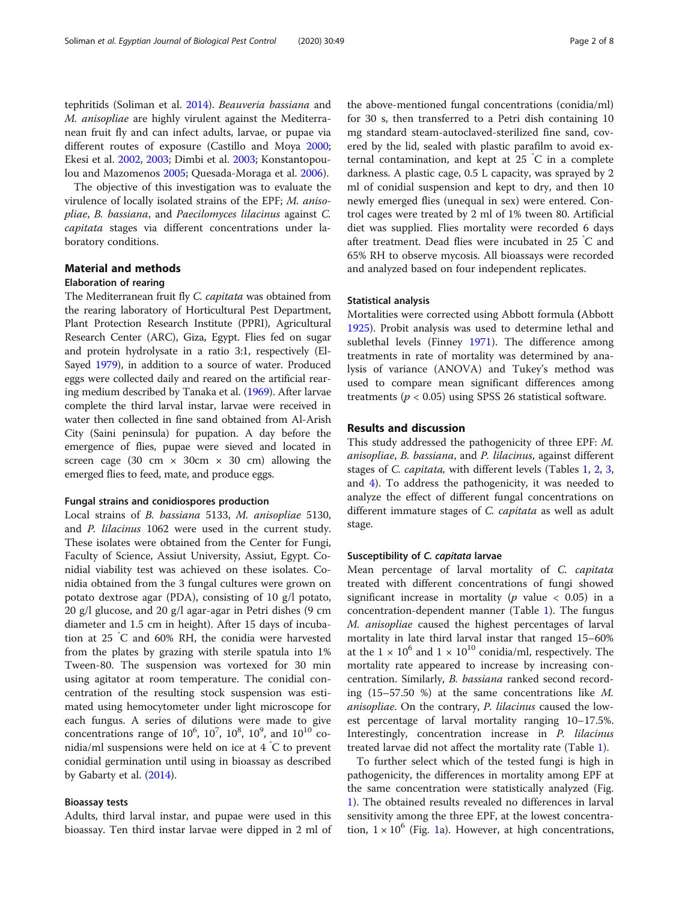tephritids (Soliman et al. [2014\)](#page-7-0). Beauveria bassiana and M. anisopliae are highly virulent against the Mediterranean fruit fly and can infect adults, larvae, or pupae via different routes of exposure (Castillo and Moya [2000](#page-7-0); Ekesi et al. [2002](#page-7-0), [2003;](#page-7-0) Dimbi et al. [2003](#page-7-0); Konstantopoulou and Mazomenos [2005;](#page-7-0) Quesada-Moraga et al. [2006](#page-7-0)).

The objective of this investigation was to evaluate the virulence of locally isolated strains of the EPF; M. anisopliae, B. bassiana, and Paecilomyces lilacinus against C. capitata stages via different concentrations under laboratory conditions.

# Material and methods

# Elaboration of rearing

The Mediterranean fruit fly C. capitata was obtained from the rearing laboratory of Horticultural Pest Department, Plant Protection Research Institute (PPRI), Agricultural Research Center (ARC), Giza, Egypt. Flies fed on sugar and protein hydrolysate in a ratio 3:1, respectively (El-Sayed [1979](#page-7-0)), in addition to a source of water. Produced eggs were collected daily and reared on the artificial rearing medium described by Tanaka et al. ([1969](#page-7-0)). After larvae complete the third larval instar, larvae were received in water then collected in fine sand obtained from Al-Arish City (Saini peninsula) for pupation. A day before the emergence of flies, pupae were sieved and located in screen cage (30 cm  $\times$  30cm  $\times$  30 cm) allowing the emerged flies to feed, mate, and produce eggs.

### Fungal strains and conidiospores production

Local strains of B. bassiana 5133, M. anisopliae 5130, and P. lilacinus 1062 were used in the current study. These isolates were obtained from the Center for Fungi, Faculty of Science, Assiut University, Assiut, Egypt. Conidial viability test was achieved on these isolates. Conidia obtained from the 3 fungal cultures were grown on potato dextrose agar (PDA), consisting of 10 g/l potato, 20 g/l glucose, and 20 g/l agar-agar in Petri dishes (9 cm diameter and 1.5 cm in height). After 15 days of incubation at 25 ° C and 60% RH, the conidia were harvested from the plates by grazing with sterile spatula into 1% Tween-80. The suspension was vortexed for 30 min using agitator at room temperature. The conidial concentration of the resulting stock suspension was estimated using hemocytometer under light microscope for each fungus. A series of dilutions were made to give concentrations range of  $10^6$ ,  $10^7$ ,  $10^8$ ,  $10^9$ , and  $10^{10}$  conidia/ml suspensions were held on ice at 4 ° C to prevent conidial germination until using in bioassay as described by Gabarty et al. [\(2014\)](#page-7-0).

# Bioassay tests

Adults, third larval instar, and pupae were used in this bioassay. Ten third instar larvae were dipped in 2 ml of

the above-mentioned fungal concentrations (conidia/ml) for 30 s, then transferred to a Petri dish containing 10 mg standard steam-autoclaved-sterilized fine sand, covered by the lid, sealed with plastic parafilm to avoid external contamination, and kept at 25 ° C in a complete darkness. A plastic cage, 0.5 L capacity, was sprayed by 2 ml of conidial suspension and kept to dry, and then 10 newly emerged flies (unequal in sex) were entered. Control cages were treated by 2 ml of 1% tween 80. Artificial diet was supplied. Flies mortality were recorded 6 days after treatment. Dead flies were incubated in 25 ° C and 65% RH to observe mycosis. All bioassays were recorded and analyzed based on four independent replicates.

# Statistical analysis

Mortalities were corrected using Abbott formula (Abbott [1925](#page-7-0)). Probit analysis was used to determine lethal and sublethal levels (Finney [1971](#page-7-0)). The difference among treatments in rate of mortality was determined by analysis of variance (ANOVA) and Tukey's method was used to compare mean significant differences among treatments ( $p < 0.05$ ) using SPSS 26 statistical software.

# Results and discussion

This study addressed the pathogenicity of three EPF: M. anisopliae, B. bassiana, and P. lilacinus, against different stages of C. capitata, with different levels (Tables [1](#page-2-0), [2](#page-3-0), [3](#page-3-0), and [4\)](#page-4-0). To address the pathogenicity, it was needed to analyze the effect of different fungal concentrations on different immature stages of C. capitata as well as adult stage.

## Susceptibility of C. capitata larvae

Mean percentage of larval mortality of C. capitata treated with different concentrations of fungi showed significant increase in mortality ( $p$  value  $< 0.05$ ) in a concentration-dependent manner (Table [1\)](#page-2-0). The fungus M. anisopliae caused the highest percentages of larval mortality in late third larval instar that ranged 15–60% at the  $1 \times 10^6$  and  $1 \times 10^{10}$  conidia/ml, respectively. The mortality rate appeared to increase by increasing concentration. Similarly, B. bassiana ranked second recording (15–57.50 %) at the same concentrations like M. anisopliae. On the contrary, P. lilacinus caused the lowest percentage of larval mortality ranging 10–17.5%. Interestingly, concentration increase in *P. lilacinus* treated larvae did not affect the mortality rate (Table [1](#page-2-0)).

To further select which of the tested fungi is high in pathogenicity, the differences in mortality among EPF at the same concentration were statistically analyzed (Fig. [1\)](#page-5-0). The obtained results revealed no differences in larval sensitivity among the three EPF, at the lowest concentration,  $1 \times 10^6$  (Fig. [1a](#page-5-0)). However, at high concentrations,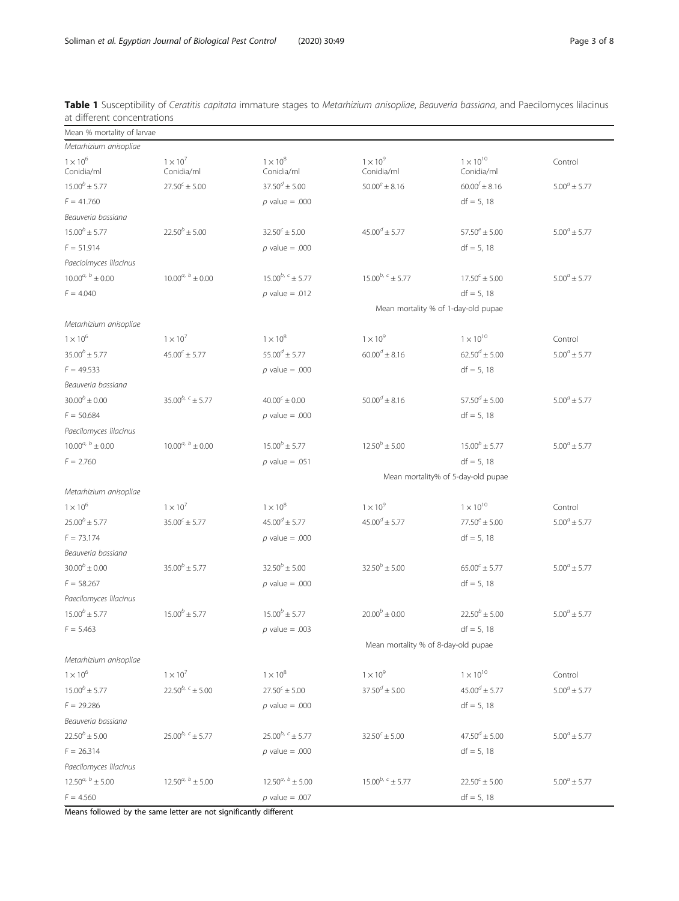| Mean % mortality of larvae    |                               |                                     |                                     |                                |                   |  |  |
|-------------------------------|-------------------------------|-------------------------------------|-------------------------------------|--------------------------------|-------------------|--|--|
| Metarhizium anisopliae        |                               |                                     |                                     |                                |                   |  |  |
| $1 \times 10^6$<br>Conidia/ml | $1 \times 10^7$<br>Conidia/ml | $1 \times 10^8$<br>Conidia/ml       | $1 \times 10^9$<br>Conidia/ml       | $1\times10^{10}$<br>Conidia/ml | Control           |  |  |
| $15.00^{b} \pm 5.77$          | $27.50^{c} \pm 5.00$          | $37.50^{d} \pm 5.00$                | $50.00^e \pm 8.16$                  | $60.00^{f} \pm 8.16$           | $5.00^a \pm 5.77$ |  |  |
| $F = 41.760$                  |                               | $p$ value = .000                    |                                     | $df = 5, 18$                   |                   |  |  |
| Beauveria bassiana            |                               |                                     |                                     |                                |                   |  |  |
| $15.00^{b} \pm 5.77$          | $22.50^{b} \pm 5.00$          | $32.50^{\circ} \pm 5.00$            | $45.00^{d} \pm 5.77$                | $57.50^e \pm 5.00$             | $5.00^a \pm 5.77$ |  |  |
| $F = 51.914$                  |                               | $p$ value = .000                    |                                     | $df = 5, 18$                   |                   |  |  |
| Paeciolmyces lilacinus        |                               |                                     |                                     |                                |                   |  |  |
| $10.00^{a, b} \pm 0.00$       | $10.00^{a, b} \pm 0.00$       | $15.00^{b, c} \pm 5.77$             | $15.00^{b, c} \pm 5.77$             | $17.50^{c} \pm 5.00$           | $5.00^a \pm 5.77$ |  |  |
| $F = 4.040$                   |                               | $p$ value = .012                    |                                     | $df = 5, 18$                   |                   |  |  |
|                               |                               |                                     | Mean mortality % of 1-day-old pupae |                                |                   |  |  |
| Metarhizium anisopliae        |                               |                                     |                                     |                                |                   |  |  |
| $1 \times 10^6$               | $1 \times 10^7$               | $1 \times 10^8$                     | $1 \times 10^9$                     | $1 \times 10^{10}$             | Control           |  |  |
| $35.00^{b} \pm 5.77$          | $45.00^{c} \pm 5.77$          | $55.00^{d} \pm 5.77$                | $60.00^{d} \pm 8.16$                | $62.50^{d} \pm 5.00$           | $5.00^a \pm 5.77$ |  |  |
| $F = 49.533$                  |                               | $p$ value = .000                    |                                     | $df = 5, 18$                   |                   |  |  |
| Beauveria bassiana            |                               |                                     |                                     |                                |                   |  |  |
| $30.00^{b} \pm 0.00$          | $35.00^{b, c} \pm 5.77$       | $40.00^{c} \pm 0.00$                | $50.00^{d} \pm 8.16$                | $57.50^{d} \pm 5.00$           | $5.00^a \pm 5.77$ |  |  |
| $F = 50.684$                  |                               | $p$ value = .000                    |                                     | $df = 5, 18$                   |                   |  |  |
| Paecilomyces lilacinus        |                               |                                     |                                     |                                |                   |  |  |
| $10.00^{a, b} \pm 0.00$       | $10.00^{a, b} \pm 0.00$       | $15.00^{b} \pm 5.77$                | $12.50^{b} \pm 5.00$                | $15.00^{b} \pm 5.77$           | $5.00^a \pm 5.77$ |  |  |
| $F = 2.760$                   |                               | $p$ value = .051                    |                                     | $df = 5, 18$                   |                   |  |  |
|                               |                               | Mean mortality% of 5-day-old pupae  |                                     |                                |                   |  |  |
| Metarhizium anisopliae        |                               |                                     |                                     |                                |                   |  |  |
| $1 \times 10^6$               | $1 \times 10^7$               | $1 \times 10^8$                     | $1 \times 10^9$                     | $1 \times 10^{10}$             | Control           |  |  |
| $25.00^{b} \pm 5.77$          | $35.00^{c} \pm 5.77$          | $45.00^{d} \pm 5.77$                | $45.00^{d} \pm 5.77$                | $77.50^e \pm 5.00$             | $5.00^a \pm 5.77$ |  |  |
| $F = 73.174$                  |                               | $p$ value = .000                    |                                     | $df = 5, 18$                   |                   |  |  |
| Beauveria bassiana            |                               |                                     |                                     |                                |                   |  |  |
| $30.00^{b} \pm 0.00$          | $35.00^{b} \pm 5.77$          | $32.50^{b} \pm 5.00$                | $32.50^{b} \pm 5.00$                | $65.00^{c} \pm 5.77$           | $5.00^a \pm 5.77$ |  |  |
| $F = 58.267$                  |                               | $p$ value = .000                    |                                     | $df = 5, 18$                   |                   |  |  |
| Paecilomyces lilacinus        |                               |                                     |                                     |                                |                   |  |  |
| $15.00^{b} \pm 5.77$          | $15.00^{b} \pm 5.77$          | $15.00^{b} \pm 5.77$                | $20.00^{b} \pm 0.00$                | $22.50^{b} \pm 5.00$           | $5.00^a \pm 5.77$ |  |  |
| $F = 5.463$                   |                               | $p$ value = .003                    |                                     | $df = 5, 18$                   |                   |  |  |
|                               |                               | Mean mortality % of 8-day-old pupae |                                     |                                |                   |  |  |
| Metarhizium anisopliae        |                               |                                     |                                     |                                |                   |  |  |
| $1 \times 10^6$               | $1 \times 10^7$               | $1 \times 10^8$                     | $1 \times 10^9$                     | $1 \times 10^{10}$             | Control           |  |  |
| $15.00^{b} \pm 5.77$          | $22.50^{b, c} \pm 5.00$       | $27.50^{c} \pm 5.00$                | $37.50^{d} \pm 5.00$                | $45.00^{d} \pm 5.77$           | $5.00^a \pm 5.77$ |  |  |
| $F = 29.286$                  |                               | $p$ value = .000                    |                                     | $df = 5, 18$                   |                   |  |  |
| Beauveria bassiana            |                               |                                     |                                     |                                |                   |  |  |
| $22.50^{b} \pm 5.00$          | $25.00^{b, c} \pm 5.77$       | $25.00^{b, c} \pm 5.77$             | $32.50^{c} \pm 5.00$                | $47.50^{d} \pm 5.00$           | $5.00^a \pm 5.77$ |  |  |
| $F = 26.314$                  |                               | $p$ value = .000                    |                                     | $df = 5, 18$                   |                   |  |  |
| Paecilomyces lilacinus        |                               |                                     |                                     |                                |                   |  |  |
| $12.50^{a, b} \pm 5.00$       | $12.50^{a, b} \pm 5.00$       | $12.50^{a, b} \pm 5.00$             | $15.00^{b, c} \pm 5.77$             | $22.50^{c} \pm 5.00$           | $5.00^a \pm 5.77$ |  |  |
| $F = 4.560$                   |                               | $p$ value = .007                    |                                     | $df = 5, 18$                   |                   |  |  |

<span id="page-2-0"></span>Table 1 Susceptibility of Ceratitis capitata immature stages to Metarhizium anisopliae, Beauveria bassiana, and Paecilomyces lilacinus at different concentrations

Means followed by the same letter are not significantly different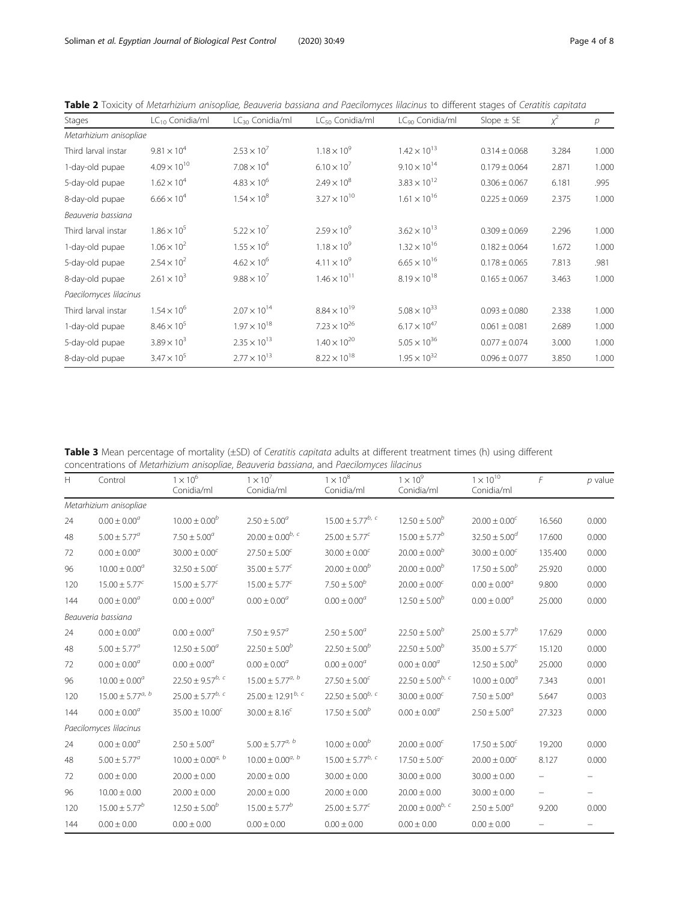| Stages                 | LC <sub>10</sub> Conidia/ml | LC <sub>30</sub> Conidia/ml | LC <sub>50</sub> Conidia/ml | LC <sub>90</sub> Conidia/ml | Slope $\pm$ SE    | $x^2$ | $\overline{p}$ |
|------------------------|-----------------------------|-----------------------------|-----------------------------|-----------------------------|-------------------|-------|----------------|
| Metarhizium anisopliae |                             |                             |                             |                             |                   |       |                |
| Third larval instar    | $9.81 \times 10^{4}$        | $2.53 \times 10^{7}$        | $1.18 \times 10^{9}$        | $1.42 \times 10^{13}$       | $0.314 \pm 0.068$ | 3.284 | 1.000          |
| 1-day-old pupae        | $4.09 \times 10^{10}$       | $7.08 \times 10^{4}$        | $6.10 \times 10^{7}$        | $9.10 \times 10^{14}$       | $0.179 \pm 0.064$ | 2.871 | 1.000          |
| 5-day-old pupae        | $1.62 \times 10^{4}$        | $4.83 \times 10^{6}$        | $2.49 \times 10^{8}$        | $3.83 \times 10^{12}$       | $0.306 \pm 0.067$ | 6.181 | .995           |
| 8-day-old pupae        | $6.66 \times 10^{4}$        | $1.54 \times 10^{8}$        | $3.27 \times 10^{10}$       | $1.61 \times 10^{16}$       | $0.225 \pm 0.069$ | 2.375 | 1.000          |
| Beauveria bassiana     |                             |                             |                             |                             |                   |       |                |
| Third larval instar    | $1.86 \times 10^{5}$        | $5.22 \times 10^{7}$        | $2.59 \times 10^{9}$        | $3.62 \times 10^{13}$       | $0.309 \pm 0.069$ | 2.296 | 1.000          |
| 1-day-old pupae        | $1.06 \times 10^{2}$        | $1.55 \times 10^{6}$        | $1.18 \times 10^{9}$        | $1.32 \times 10^{16}$       | $0.182 \pm 0.064$ | 1.672 | 1.000          |
| 5-day-old pupae        | $2.54 \times 10^{2}$        | $4.62 \times 10^{6}$        | $4.11 \times 10^{9}$        | $6.65 \times 10^{16}$       | $0.178 \pm 0.065$ | 7.813 | .981           |
| 8-day-old pupae        | $2.61 \times 10^{3}$        | $9.88 \times 10^{7}$        | $1.46 \times 10^{11}$       | $8.19 \times 10^{18}$       | $0.165 \pm 0.067$ | 3.463 | 1.000          |
| Paecilomyces lilacinus |                             |                             |                             |                             |                   |       |                |
| Third larval instar    | $1.54 \times 10^{6}$        | $2.07 \times 10^{14}$       | $8.84 \times 10^{19}$       | $5.08 \times 10^{33}$       | $0.093 \pm 0.080$ | 2.338 | 1.000          |
| 1-day-old pupae        | $8.46 \times 10^{5}$        | $1.97 \times 10^{18}$       | $7.23 \times 10^{26}$       | $6.17 \times 10^{47}$       | $0.061 \pm 0.081$ | 2.689 | 1.000          |
| 5-day-old pupae        | $3.89 \times 10^{3}$        | $2.35 \times 10^{13}$       | $1.40 \times 10^{20}$       | $5.05 \times 10^{36}$       | $0.077 \pm 0.074$ | 3.000 | 1.000          |
| 8-day-old pupae        | $3.47 \times 10^{5}$        | $2.77 \times 10^{13}$       | $8.22 \times 10^{18}$       | $1.95 \times 10^{32}$       | $0.096 \pm 0.077$ | 3.850 | 1.000          |

<span id="page-3-0"></span>Table 2 Toxicity of Metarhizium anisopliae, Beauveria bassiana and Paecilomyces lilacinus to different stages of Ceratitis capitata

Table 3 Mean percentage of mortality (±SD) of Ceratitis capitata adults at different treatment times (h) using different concentrations of Metarhizium anisopliae, Beauveria bassiana, and Paecilomyces lilacinus

| H   | Control                 | $1\times10^6$<br>Conidia/ml | $1 \times 10^7$<br>Conidia/ml | $1 \times 10^8$<br>Conidia/ml | $1 \times 10^9$<br>Conidia/ml | $1\times10^{10}$<br>Conidia/ml | $\sqrt{2}$        | $p$ value         |
|-----|-------------------------|-----------------------------|-------------------------------|-------------------------------|-------------------------------|--------------------------------|-------------------|-------------------|
|     | Metarhizium anisopliae  |                             |                               |                               |                               |                                |                   |                   |
| 24  | $0.00 \pm 0.00^a$       | $10.00 \pm 0.00^b$          | $2.50 \pm 5.00^a$             | $15.00 \pm 5.77^{b, c}$       | $12.50 \pm 5.00^{b}$          | $20.00 \pm 0.00^c$             | 16.560            | 0.000             |
| 48  | $5.00 \pm 5.77^a$       | $7.50 \pm 5.00^a$           | $20.00 \pm 0.00^{b, c}$       | $25.00 \pm 5.77^c$            | $15.00 \pm 5.77^b$            | $32.50 \pm 5.00^d$             | 17.600            | 0.000             |
| 72  | $0.00 \pm 0.00^a$       | $30.00 \pm 0.00^c$          | $27.50 \pm 5.00^c$            | $30.00 \pm 0.00^c$            | $20.00 \pm 0.00^{b}$          | $30.00 \pm 0.00^c$             | 135.400           | 0.000             |
| 96  | $10.00 \pm 0.00^a$      | $32.50 \pm 5.00^c$          | $35.00 \pm 5.77^c$            | $20.00 \pm 0.00^b$            | $20.00 \pm 0.00^b$            | $17.50 \pm 5.00^b$             | 25.920            | 0.000             |
| 120 | $15.00 \pm 5.77^c$      | $15.00 \pm 5.77^c$          | $15.00 \pm 5.77^c$            | $7.50 \pm 5.00^b$             | $20.00 \pm 0.00^c$            | $0.00 \pm 0.00^a$              | 9.800             | 0.000             |
| 144 | $0.00 \pm 0.00^a$       | $0.00 \pm 0.00^a$           | $0.00 \pm 0.00^a$             | $0.00\pm0.00^a$               | $12.50 \pm 5.00^b$            | $0.00\pm0.00^a$                | 25.000            | 0.000             |
|     | Beauveria bassiana      |                             |                               |                               |                               |                                |                   |                   |
| 24  | $0.00 \pm 0.00^a$       | $0.00 \pm 0.00^a$           | $7.50 \pm 9.57^a$             | $2.50 \pm 5.00^a$             | $22.50 \pm 5.00^{b}$          | $25.00 \pm 5.77^b$             | 17.629            | 0.000             |
| 48  | $5.00 \pm 5.77^a$       | $12.50 \pm 5.00^{\circ}$    | $22.50 \pm 5.00^{b}$          | $22.50 \pm 5.00^{b}$          | $22.50 \pm 5.00^{b}$          | $35.00 \pm 5.77^c$             | 15.120            | 0.000             |
| 72  | $0.00 \pm 0.00^a$       | $0.00 \pm 0.00^a$           | $0.00\pm0.00^a$               | $0.00 \pm 0.00^a$             | $0.00 \pm 0.00^a$             | $12.50 \pm 5.00^b$             | 25.000            | 0.000             |
| 96  | $10.00 \pm 0.00^a$      | $22.50 \pm 9.57^{b, c}$     | $15.00 \pm 5.77^{a, b}$       | $27.50\pm5.00^c$              | $22.50 \pm 5.00^{b, c}$       | $10.00 \pm 0.00^a$             | 7.343             | 0.001             |
| 120 | $15.00 \pm 5.77^{a, b}$ | $25.00 \pm 5.77^{b, c}$     | $25.00 \pm 12.91^{b, c}$      | $22.50 \pm 5.00^{b, c}$       | $30.00 \pm 0.00^c$            | $7.50 \pm 5.00^a$              | 5.647             | 0.003             |
| 144 | $0.00 \pm 0.00^a$       | $35.00 \pm 10.00^c$         | $30.00 \pm 8.16^c$            | $17.50 \pm 5.00^b$            | $0.00 \pm 0.00^a$             | $2.50\pm5.00^a$                | 27.323            | 0.000             |
|     | Paecilomyces lilacinus  |                             |                               |                               |                               |                                |                   |                   |
| 24  | $0.00 \pm 0.00^a$       | $2.50 \pm 5.00^{\circ}$     | $5.00 \pm 5.77^{a, b}$        | $10.00 \pm 0.00^b$            | $20.00 \pm 0.00^c$            | $17.50 \pm 5.00^{\circ}$       | 19.200            | 0.000             |
| 48  | $5.00 \pm 5.77^a$       | $10.00 \pm 0.00^{a, b}$     | $10.00 \pm 0.00^{a, b}$       | $15.00 \pm 5.77^{b, c}$       | $17.50 \pm 5.00^c$            | $20.00 \pm 0.00^c$             | 8.127             | 0.000             |
| 72  | $0.00 \pm 0.00$         | $20.00 \pm 0.00$            | $20.00 \pm 0.00$              | $30.00 \pm 0.00$              | $30.00 \pm 0.00$              | $30.00 \pm 0.00$               |                   |                   |
| 96  | $10.00 \pm 0.00$        | $20.00 \pm 0.00$            | $20.00 \pm 0.00$              | $20.00 \pm 0.00$              | $20.00 \pm 0.00$              | $30.00 \pm 0.00$               | $\qquad \qquad -$ | $\qquad \qquad -$ |
| 120 | $15.00 \pm 5.77^b$      | $12.50 \pm 5.00^{b}$        | $15.00 \pm 5.77^b$            | $25.00 \pm 5.77^c$            | $20.00 \pm 0.00^{b, c}$       | $2.50 \pm 5.00^a$              | 9.200             | 0.000             |
| 144 | $0.00 \pm 0.00$         | $0.00 \pm 0.00$             | $0.00 \pm 0.00$               | $0.00 \pm 0.00$               | $0.00 \pm 0.00$               | $0.00 \pm 0.00$                |                   |                   |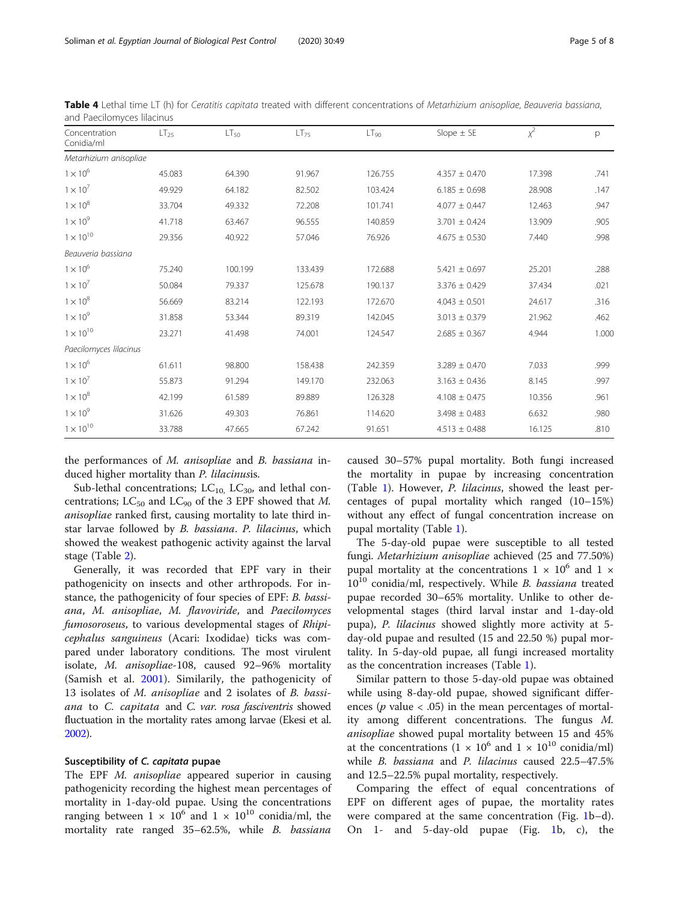| Concentration<br>Conidia/ml | LT <sub>25</sub> | LT <sub>50</sub> | $LT_{75}$ | LT <sub>90</sub> | Slope $\pm$ SE    | $\chi^2$ | p     |
|-----------------------------|------------------|------------------|-----------|------------------|-------------------|----------|-------|
| Metarhizium anisopliae      |                  |                  |           |                  |                   |          |       |
| $1 \times 10^6$             | 45.083           | 64.390           | 91.967    | 126.755          | $4.357 \pm 0.470$ | 17.398   | .741  |
| $1 \times 10^7$             | 49.929           | 64.182           | 82.502    | 103.424          | $6.185 \pm 0.698$ | 28.908   | .147  |
| $1 \times 10^8$             | 33.704           | 49.332           | 72.208    | 101.741          | $4.077 \pm 0.447$ | 12.463   | .947  |
| $1 \times 10^9$             | 41.718           | 63.467           | 96.555    | 140.859          | $3.701 \pm 0.424$ | 13.909   | .905  |
| $1 \times 10^{10}$          | 29.356           | 40.922           | 57.046    | 76.926           | $4.675 \pm 0.530$ | 7.440    | .998  |
| Beauveria bassiana          |                  |                  |           |                  |                   |          |       |
| $1\times10^6$               | 75.240           | 100.199          | 133.439   | 172.688          | $5.421 \pm 0.697$ | 25.201   | .288  |
| $1 \times 10^7$             | 50.084           | 79.337           | 125.678   | 190.137          | $3.376 \pm 0.429$ | 37.434   | .021  |
| $1 \times 10^8$             | 56.669           | 83.214           | 122.193   | 172.670          | $4.043 \pm 0.501$ | 24.617   | .316  |
| $1 \times 10^9$             | 31.858           | 53.344           | 89.319    | 142.045          | $3.013 \pm 0.379$ | 21.962   | .462  |
| $1\times10^{10}$            | 23.271           | 41.498           | 74.001    | 124.547          | $2.685 \pm 0.367$ | 4.944    | 1.000 |
| Paecilomyces lilacinus      |                  |                  |           |                  |                   |          |       |
| $1 \times 10^6$             | 61.611           | 98.800           | 158.438   | 242.359          | $3.289 \pm 0.470$ | 7.033    | .999  |
| $1 \times 10^7$             | 55.873           | 91.294           | 149.170   | 232.063          | $3.163 \pm 0.436$ | 8.145    | .997  |
| $1 \times 10^8$             | 42.199           | 61.589           | 89.889    | 126.328          | $4.108 \pm 0.475$ | 10.356   | .961  |
| $1 \times 10^9$             | 31.626           | 49.303           | 76.861    | 114.620          | $3.498 \pm 0.483$ | 6.632    | .980  |
| $1 \times 10^{10}$          | 33.788           | 47.665           | 67.242    | 91.651           | $4.513 \pm 0.488$ | 16.125   | .810  |

<span id="page-4-0"></span>Table 4 Lethal time LT (h) for Ceratitis capitata treated with different concentrations of Metarhizium anisopliae, Beauveria bassiana, and Paecilomyces lilacinus

the performances of M. anisopliae and B. bassiana induced higher mortality than P. lilacinusis.

Sub-lethal concentrations;  $LC_{10}$ ,  $LC_{30}$ , and lethal concentrations; LC<sub>50</sub> and LC<sub>90</sub> of the 3 EPF showed that M. anisopliae ranked first, causing mortality to late third instar larvae followed by B. bassiana. P. lilacinus, which showed the weakest pathogenic activity against the larval stage (Table [2](#page-3-0)).

Generally, it was recorded that EPF vary in their pathogenicity on insects and other arthropods. For instance, the pathogenicity of four species of EPF: B. bassiana, M. anisopliae, M. flavoviride, and Paecilomyces fumosoroseus, to various developmental stages of Rhipicephalus sanguineus (Acari: Ixodidae) ticks was compared under laboratory conditions. The most virulent isolate, M. anisopliae-108, caused 92–96% mortality (Samish et al. [2001\)](#page-7-0). Similarily, the pathogenicity of 13 isolates of M. anisopliae and 2 isolates of B. bassiana to C. capitata and C. var. rosa fasciventris showed fluctuation in the mortality rates among larvae (Ekesi et al. [2002\)](#page-7-0).

# Susceptibility of C. capitata pupae

The EPF M. anisopliae appeared superior in causing pathogenicity recording the highest mean percentages of mortality in 1-day-old pupae. Using the concentrations ranging between  $1 \times 10^6$  and  $1 \times 10^{10}$  conidia/ml, the mortality rate ranged 35–62.5%, while B. bassiana caused 30–57% pupal mortality. Both fungi increased the mortality in pupae by increasing concentration (Table [1](#page-2-0)). However, P. lilacinus, showed the least percentages of pupal mortality which ranged (10–15%) without any effect of fungal concentration increase on pupal mortality (Table [1\)](#page-2-0).

The 5-day-old pupae were susceptible to all tested fungi. Metarhizium anisopliae achieved (25 and 77.50%) pupal mortality at the concentrations  $1 \times 10^6$  and  $1 \times$  $10^{10}$  conidia/ml, respectively. While B. bassiana treated pupae recorded 30–65% mortality. Unlike to other developmental stages (third larval instar and 1-day-old pupa), P. lilacinus showed slightly more activity at 5 day-old pupae and resulted (15 and 22.50 %) pupal mortality. In 5-day-old pupae, all fungi increased mortality as the concentration increases (Table [1](#page-2-0)).

Similar pattern to those 5-day-old pupae was obtained while using 8-day-old pupae, showed significant differences ( $p$  value < .05) in the mean percentages of mortality among different concentrations. The fungus M. anisopliae showed pupal mortality between 15 and 45% at the concentrations  $(1 \times 10^6$  and  $1 \times 10^{10}$  conidia/ml) while B. bassiana and P. lilacinus caused 22.5–47.5% and 12.5–22.5% pupal mortality, respectively.

Comparing the effect of equal concentrations of EPF on different ages of pupae, the mortality rates were compared at the same concentration (Fig. [1b](#page-5-0)–d). On 1- and 5-day-old pupae (Fig. [1b](#page-5-0), c), the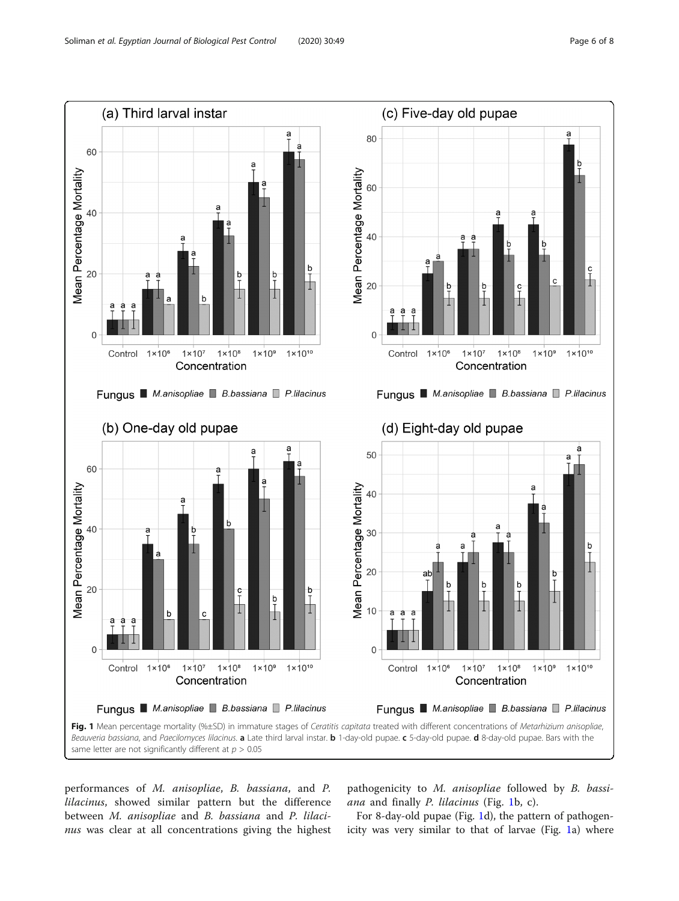<span id="page-5-0"></span>

performances of M. anisopliae, B. bassiana, and P. lilacinus, showed similar pattern but the difference between M. anisopliae and B. bassiana and P. lilacinus was clear at all concentrations giving the highest

pathogenicity to M. anisopliae followed by B. bassiana and finally P. lilacinus (Fig. 1b, c).

For 8-day-old pupae (Fig. 1d), the pattern of pathogenicity was very similar to that of larvae (Fig. 1a) where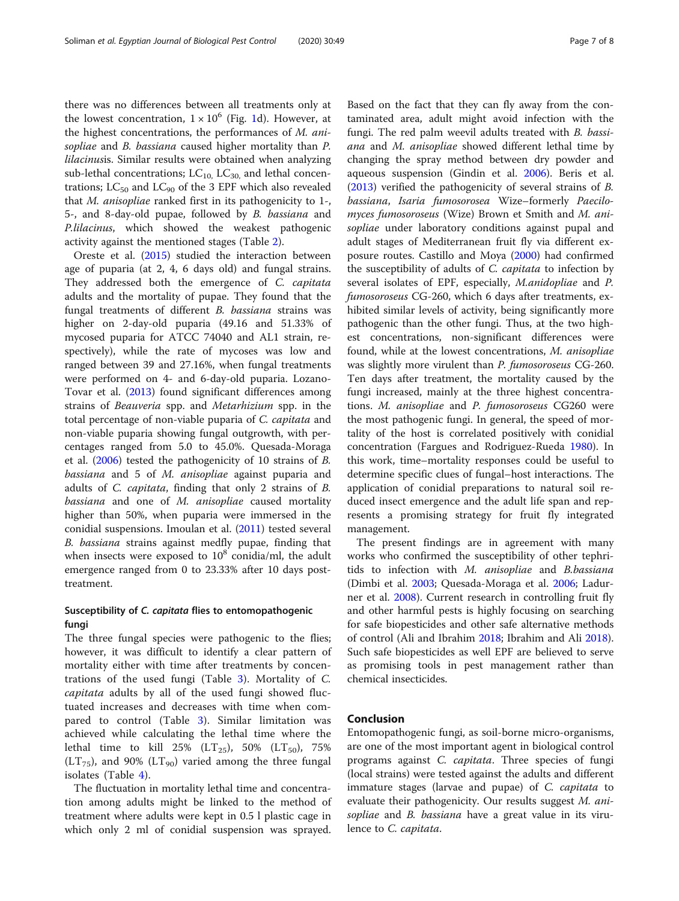there was no differences between all treatments only at the lowest concentration,  $1 \times 10^6$  (Fig. [1d](#page-5-0)). However, at the highest concentrations, the performances of M. anisopliae and B. bassiana caused higher mortality than P. lilacinusis. Similar results were obtained when analyzing sub-lethal concentrations;  $LC_{10}$ ,  $LC_{30}$ , and lethal concentrations;  $LC_{50}$  and  $LC_{90}$  of the 3 EPF which also revealed that M. anisopliae ranked first in its pathogenicity to 1-, 5-, and 8-day-old pupae, followed by B. bassiana and P.lilacinus, which showed the weakest pathogenic activity against the mentioned stages (Table [2](#page-3-0)).

Oreste et al. ([2015](#page-7-0)) studied the interaction between age of puparia (at 2, 4, 6 days old) and fungal strains. They addressed both the emergence of C. capitata adults and the mortality of pupae. They found that the fungal treatments of different B. bassiana strains was higher on 2-day-old puparia (49.16 and 51.33% of mycosed puparia for ATCC 74040 and AL1 strain, respectively), while the rate of mycoses was low and ranged between 39 and 27.16%, when fungal treatments were performed on 4- and 6-day-old puparia. Lozano-Tovar et al. [\(2013](#page-7-0)) found significant differences among strains of Beauveria spp. and Metarhizium spp. in the total percentage of non-viable puparia of C. capitata and non-viable puparia showing fungal outgrowth, with percentages ranged from 5.0 to 45.0%. Quesada-Moraga et al. [\(2006\)](#page-7-0) tested the pathogenicity of 10 strains of B. bassiana and 5 of M. anisopliae against puparia and adults of C. capitata, finding that only 2 strains of B. bassiana and one of M. anisopliae caused mortality higher than 50%, when puparia were immersed in the conidial suspensions. Imoulan et al. ([2011](#page-7-0)) tested several B. bassiana strains against medfly pupae, finding that when insects were exposed to  $10^8$  conidia/ml, the adult emergence ranged from 0 to 23.33% after 10 days posttreatment.

# Susceptibility of C. capitata flies to entomopathogenic fungi

The three fungal species were pathogenic to the flies; however, it was difficult to identify a clear pattern of mortality either with time after treatments by concentrations of the used fungi (Table [3](#page-3-0)). Mortality of C. capitata adults by all of the used fungi showed fluctuated increases and decreases with time when compared to control (Table [3\)](#page-3-0). Similar limitation was achieved while calculating the lethal time where the lethal time to kill 25% ( $LT_{25}$ ), 50% ( $LT_{50}$ ), 75%  $(LT_{75})$ , and 90%  $(LT_{90})$  varied among the three fungal isolates (Table [4\)](#page-4-0).

The fluctuation in mortality lethal time and concentration among adults might be linked to the method of treatment where adults were kept in 0.5 l plastic cage in which only 2 ml of conidial suspension was sprayed.

Based on the fact that they can fly away from the contaminated area, adult might avoid infection with the fungi. The red palm weevil adults treated with B. bassiana and M. anisopliae showed different lethal time by changing the spray method between dry powder and aqueous suspension (Gindin et al. [2006](#page-7-0)). Beris et al. ([2013\)](#page-7-0) verified the pathogenicity of several strains of B. bassiana, Isaria fumosorosea Wize–formerly Paecilomyces fumosoroseus (Wize) Brown et Smith and M. anisopliae under laboratory conditions against pupal and adult stages of Mediterranean fruit fly via different exposure routes. Castillo and Moya [\(2000\)](#page-7-0) had confirmed the susceptibility of adults of C. capitata to infection by several isolates of EPF, especially, M.anidopliae and P. fumosoroseus CG-260, which 6 days after treatments, exhibited similar levels of activity, being significantly more pathogenic than the other fungi. Thus, at the two highest concentrations, non-significant differences were found, while at the lowest concentrations, M. anisopliae was slightly more virulent than P. fumosoroseus CG-260. Ten days after treatment, the mortality caused by the fungi increased, mainly at the three highest concentrations. M. anisopliae and P. fumosoroseus CG260 were the most pathogenic fungi. In general, the speed of mortality of the host is correlated positively with conidial concentration (Fargues and Rodriguez-Rueda [1980\)](#page-7-0). In this work, time–mortality responses could be useful to determine specific clues of fungal–host interactions. The application of conidial preparations to natural soil reduced insect emergence and the adult life span and represents a promising strategy for fruit fly integrated management.

The present findings are in agreement with many works who confirmed the susceptibility of other tephritids to infection with M. anisopliae and B.bassiana (Dimbi et al. [2003](#page-7-0); Quesada-Moraga et al. [2006;](#page-7-0) Ladurner et al. [2008](#page-7-0)). Current research in controlling fruit fly and other harmful pests is highly focusing on searching for safe biopesticides and other safe alternative methods of control (Ali and Ibrahim [2018;](#page-7-0) Ibrahim and Ali [2018](#page-7-0)). Such safe biopesticides as well EPF are believed to serve as promising tools in pest management rather than chemical insecticides.

# Conclusion

Entomopathogenic fungi, as soil-borne micro-organisms, are one of the most important agent in biological control programs against C. capitata. Three species of fungi (local strains) were tested against the adults and different immature stages (larvae and pupae) of C. capitata to evaluate their pathogenicity. Our results suggest M. anisopliae and B. bassiana have a great value in its virulence to C. capitata.